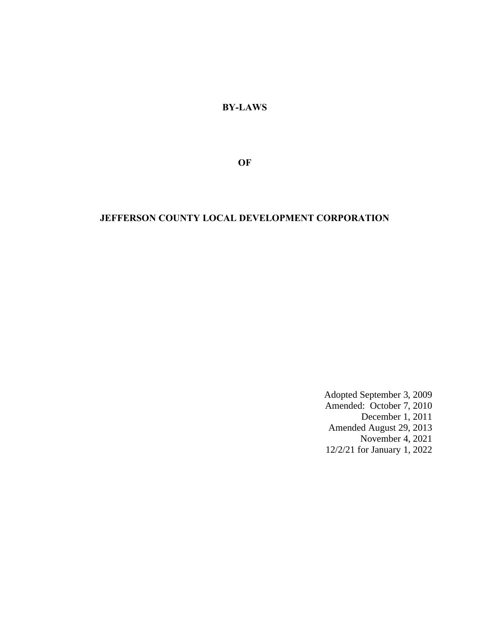**BY-LAWS**

**OF**

# **JEFFERSON COUNTY LOCAL DEVELOPMENT CORPORATION**

Adopted September 3, 2009 Amended: October 7, 2010 December 1, 2011 Amended August 29, 2013 November 4, 2021 12/2/21 for January 1, 2022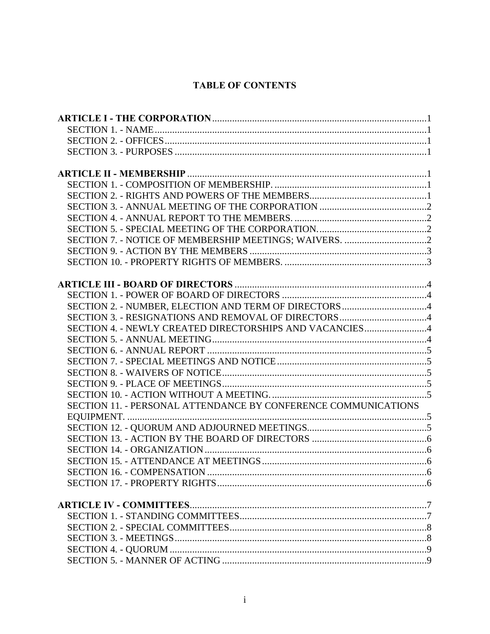# **TABLE OF CONTENTS**

| SECTION 2. - NUMBER, ELECTION AND TERM OF DIRECTORS 4          |  |
|----------------------------------------------------------------|--|
|                                                                |  |
| SECTION 4. - NEWLY CREATED DIRECTORSHIPS AND VACANCIES4        |  |
|                                                                |  |
|                                                                |  |
|                                                                |  |
|                                                                |  |
|                                                                |  |
|                                                                |  |
| SECTION 11. - PERSONAL ATTENDANCE BY CONFERENCE COMMUNICATIONS |  |
|                                                                |  |
|                                                                |  |
|                                                                |  |
|                                                                |  |
|                                                                |  |
|                                                                |  |
|                                                                |  |
|                                                                |  |
|                                                                |  |
|                                                                |  |
|                                                                |  |
|                                                                |  |
|                                                                |  |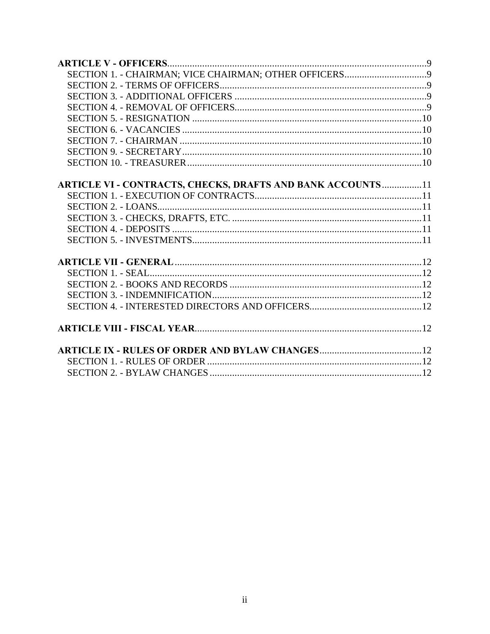| <b>ARTICLE VI - CONTRACTS, CHECKS, DRAFTS AND BANK ACCOUNTS11</b> |  |
|-------------------------------------------------------------------|--|
|                                                                   |  |
|                                                                   |  |
|                                                                   |  |
|                                                                   |  |
|                                                                   |  |
|                                                                   |  |
|                                                                   |  |
|                                                                   |  |
|                                                                   |  |
|                                                                   |  |
|                                                                   |  |
|                                                                   |  |
|                                                                   |  |
|                                                                   |  |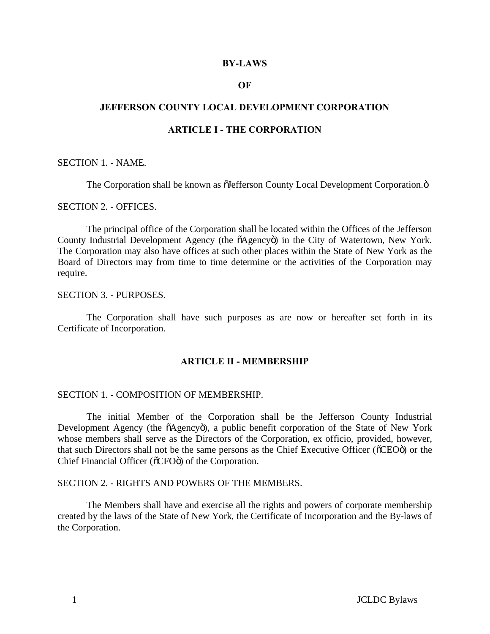#### **BY-LAWS**

### **OF**

# **JEFFERSON COUNTY LOCAL DEVELOPMENT CORPORATION**

### **ARTICLE I - THE CORPORATION**

### SECTION 1. - NAME.

The Corporation shall be known as  $\tilde{o}$ Jefferson County Local Development Corporation. $\ddot{o}$ 

# SECTION 2. - OFFICES.

The principal office of the Corporation shall be located within the Offices of the Jefferson County Industrial Development Agency (the  $\tilde{o}$ Agency $\tilde{o}$ ) in the City of Watertown, New York. The Corporation may also have offices at such other places within the State of New York as the Board of Directors may from time to time determine or the activities of the Corporation may require.

# SECTION 3. - PURPOSES.

The Corporation shall have such purposes as are now or hereafter set forth in its Certificate of Incorporation.

# <span id="page-3-6"></span><span id="page-3-5"></span><span id="page-3-4"></span><span id="page-3-3"></span><span id="page-3-2"></span><span id="page-3-1"></span><span id="page-3-0"></span>**ARTICLE II - MEMBERSHIP**

#### SECTION 1. - COMPOSITION OF MEMBERSHIP.

The initial Member of the Corporation shall be the Jefferson County Industrial Development Agency (the  $\tilde{o}$ Agency $\tilde{o}$ ), a public benefit corporation of the State of New York whose members shall serve as the Directors of the Corporation, ex officio, provided, however, that such Directors shall not be the same persons as the Chief Executive Officer ( $\delta$ CEO $\ddot{o}$ ) or the Chief Financial Officer ( $\tilde{O}$ CFO $\tilde{O}$ ) of the Corporation.

#### SECTION 2. - RIGHTS AND POWERS OF THE MEMBERS.

The Members shall have and exercise all the rights and powers of corporate membership created by the laws of the State of New York, the Certificate of Incorporation and the By-laws of the Corporation.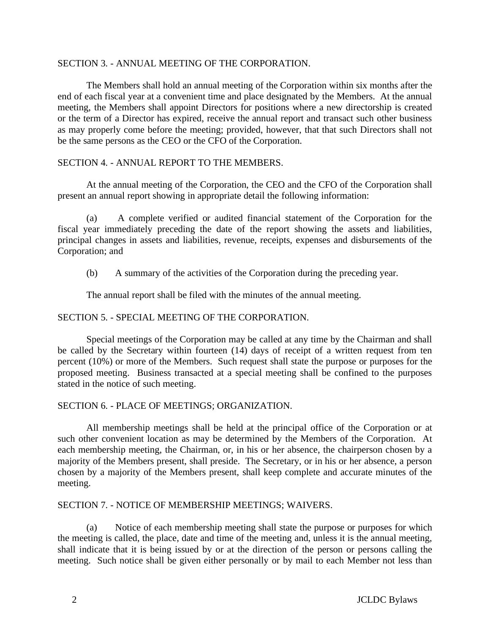# SECTION 3. - ANNUAL MEETING OF THE CORPORATION.

The Members shall hold an annual meeting of the Corporation within six months after the end of each fiscal year at a convenient time and place designated by the Members. At the annual meeting, the Members shall appoint Directors for positions where a new directorship is created or the term of a Director has expired, receive the annual report and transact such other business as may properly come before the meeting; provided, however, that that such Directors shall not be the same persons as the CEO or the CFO of the Corporation.

# SECTION 4. - ANNUAL REPORT TO THE MEMBERS.

At the annual meeting of the Corporation, the CEO and the CFO of the Corporation shall present an annual report showing in appropriate detail the following information:

(a) A complete verified or audited financial statement of the Corporation for the fiscal year immediately preceding the date of the report showing the assets and liabilities, principal changes in assets and liabilities, revenue, receipts, expenses and disbursements of the Corporation; and

(b) A summary of the activities of the Corporation during the preceding year.

<span id="page-4-3"></span><span id="page-4-2"></span><span id="page-4-1"></span><span id="page-4-0"></span>The annual report shall be filed with the minutes of the annual meeting.

# SECTION 5. - SPECIAL MEETING OF THE CORPORATION.

Special meetings of the Corporation may be called at any time by the Chairman and shall be called by the Secretary within fourteen (14) days of receipt of a written request from ten percent (10%) or more of the Members. Such request shall state the purpose or purposes for the proposed meeting. Business transacted at a special meeting shall be confined to the purposes stated in the notice of such meeting.

# SECTION 6. - PLACE OF MEETINGS; ORGANIZATION.

All membership meetings shall be held at the principal office of the Corporation or at such other convenient location as may be determined by the Members of the Corporation. At each membership meeting, the Chairman, or, in his or her absence, the chairperson chosen by a majority of the Members present, shall preside. The Secretary, or in his or her absence, a person chosen by a majority of the Members present, shall keep complete and accurate minutes of the meeting.

### SECTION 7. - NOTICE OF MEMBERSHIP MEETINGS; WAIVERS.

(a) Notice of each membership meeting shall state the purpose or purposes for which the meeting is called, the place, date and time of the meeting and, unless it is the annual meeting, shall indicate that it is being issued by or at the direction of the person or persons calling the meeting. Such notice shall be given either personally or by mail to each Member not less than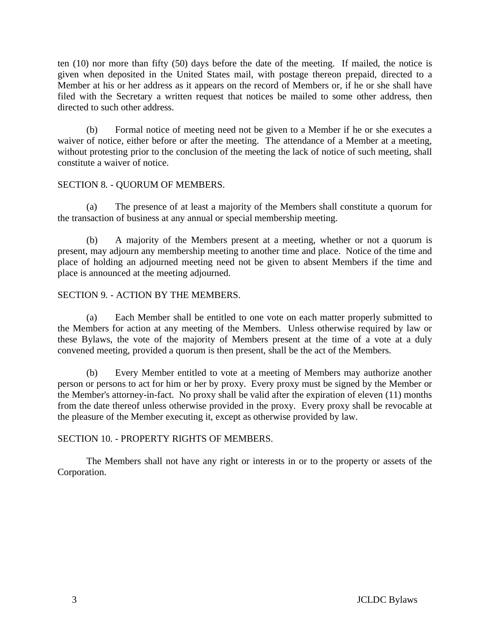ten (10) nor more than fifty (50) days before the date of the meeting. If mailed, the notice is given when deposited in the United States mail, with postage thereon prepaid, directed to a Member at his or her address as it appears on the record of Members or, if he or she shall have filed with the Secretary a written request that notices be mailed to some other address, then directed to such other address.

(b) Formal notice of meeting need not be given to a Member if he or she executes a waiver of notice, either before or after the meeting. The attendance of a Member at a meeting, without protesting prior to the conclusion of the meeting the lack of notice of such meeting, shall constitute a waiver of notice.

# SECTION 8. - QUORUM OF MEMBERS.

(a) The presence of at least a majority of the Members shall constitute a quorum for the transaction of business at any annual or special membership meeting.

(b) A majority of the Members present at a meeting, whether or not a quorum is present, may adjourn any membership meeting to another time and place. Notice of the time and place of holding an adjourned meeting need not be given to absent Members if the time and place is announced at the meeting adjourned.

# SECTION 9. - ACTION BY THE MEMBERS.

(a) Each Member shall be entitled to one vote on each matter properly submitted to the Members for action at any meeting of the Members. Unless otherwise required by law or these Bylaws, the vote of the majority of Members present at the time of a vote at a duly convened meeting, provided a quorum is then present, shall be the act of the Members.

<span id="page-5-1"></span><span id="page-5-0"></span>(b) Every Member entitled to vote at a meeting of Members may authorize another person or persons to act for him or her by proxy. Every proxy must be signed by the Member or the Member's attorney-in-fact. No proxy shall be valid after the expiration of eleven (11) months from the date thereof unless otherwise provided in the proxy. Every proxy shall be revocable at the pleasure of the Member executing it, except as otherwise provided by law.

# SECTION 10. - PROPERTY RIGHTS OF MEMBERS.

The Members shall not have any right or interests in or to the property or assets of the Corporation.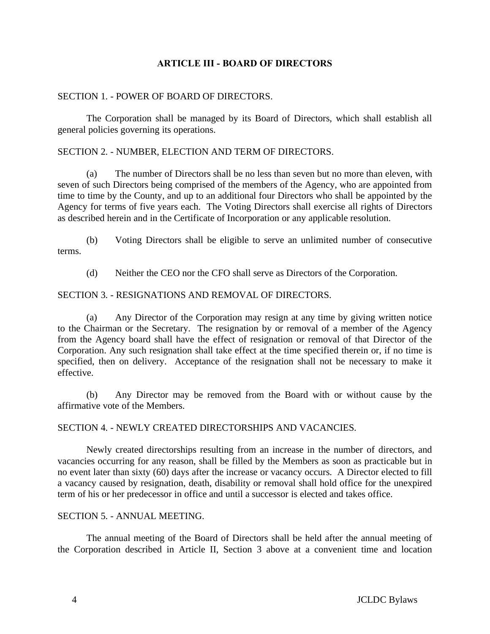# **ARTICLE III - BOARD OF DIRECTORS**

# SECTION 1. - POWER OF BOARD OF DIRECTORS.

The Corporation shall be managed by its Board of Directors, which shall establish all general policies governing its operations.

# SECTION 2. - NUMBER, ELECTION AND TERM OF DIRECTORS.

(a) The number of Directors shall be no less than seven but no more than eleven, with seven of such Directors being comprised of the members of the Agency, who are appointed from time to time by the County, and up to an additional four Directors who shall be appointed by the Agency for terms of five years each. The Voting Directors shall exercise all rights of Directors as described herein and in the Certificate of Incorporation or any applicable resolution.

(b) Voting Directors shall be eligible to serve an unlimited number of consecutive terms.

<span id="page-6-4"></span><span id="page-6-3"></span><span id="page-6-2"></span><span id="page-6-1"></span><span id="page-6-0"></span>(d) Neither the CEO nor the CFO shall serve as Directors of the Corporation.

# SECTION 3. - RESIGNATIONS AND REMOVAL OF DIRECTORS.

(a) Any Director of the Corporation may resign at any time by giving written notice to the Chairman or the Secretary. The resignation by or removal of a member of the Agency from the Agency board shall have the effect of resignation or removal of that Director of the Corporation. Any such resignation shall take effect at the time specified therein or, if no time is specified, then on delivery. Acceptance of the resignation shall not be necessary to make it effective.

(b) Any Director may be removed from the Board with or without cause by the affirmative vote of the Members.

### <span id="page-6-5"></span>SECTION 4. - NEWLY CREATED DIRECTORSHIPS AND VACANCIES.

Newly created directorships resulting from an increase in the number of directors, and vacancies occurring for any reason, shall be filled by the Members as soon as practicable but in no event later than sixty (60) days after the increase or vacancy occurs. A Director elected to fill a vacancy caused by resignation, death, disability or removal shall hold office for the unexpired term of his or her predecessor in office and until a successor is elected and takes office.

# SECTION 5. - ANNUAL MEETING.

The annual meeting of the Board of Directors shall be held after the annual meeting of the Corporation described in Article II, Section 3 above at a convenient time and location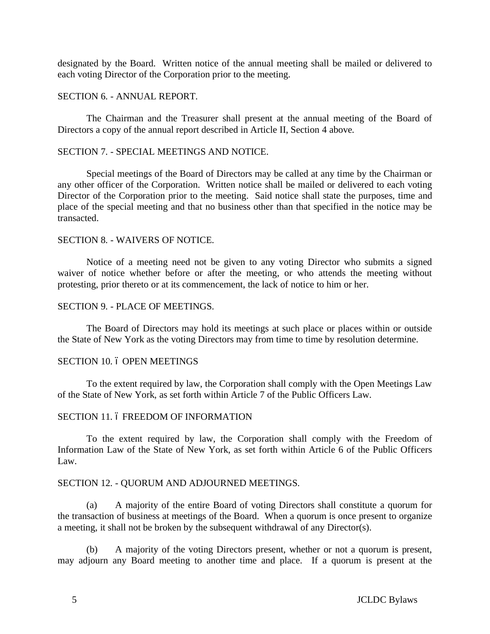designated by the Board. Written notice of the annual meeting shall be mailed or delivered to each voting Director of the Corporation prior to the meeting.

### SECTION 6. - ANNUAL REPORT.

The Chairman and the Treasurer shall present at the annual meeting of the Board of Directors a copy of the annual report described in Article II, Section 4 above.

# SECTION 7. - SPECIAL MEETINGS AND NOTICE.

Special meetings of the Board of Directors may be called at any time by the Chairman or any other officer of the Corporation. Written notice shall be mailed or delivered to each voting Director of the Corporation prior to the meeting. Said notice shall state the purposes, time and place of the special meeting and that no business other than that specified in the notice may be transacted.

#### SECTION 8. - WAIVERS OF NOTICE.

Notice of a meeting need not be given to any voting Director who submits a signed waiver of notice whether before or after the meeting, or who attends the meeting without protesting, prior thereto or at its commencement, the lack of notice to him or her.

#### SECTION 9. - PLACE OF MEETINGS.

<span id="page-7-6"></span>The Board of Directors may hold its meetings at such place or places within or outside the State of New York as the voting Directors may from time to time by resolution determine.

#### <span id="page-7-1"></span>SECTION 10. 6 OPEN MEETINGS

<span id="page-7-5"></span>To the extent required by law, the Corporation shall comply with the Open Meetings Law of the State of New York, as set forth within Article 7 of the Public Officers Law.

### <span id="page-7-3"></span><span id="page-7-2"></span>SECTION 11. 6 FREEDOM OF INFORMATION

<span id="page-7-4"></span><span id="page-7-0"></span>To the extent required by law, the Corporation shall comply with the Freedom of Information Law of the State of New York, as set forth within Article 6 of the Public Officers Law.

### SECTION 12. - QUORUM AND ADJOURNED MEETINGS.

(a) A majority of the entire Board of voting Directors shall constitute a quorum for the transaction of business at meetings of the Board. When a quorum is once present to organize a meeting, it shall not be broken by the subsequent withdrawal of any Director(s).

(b) A majority of the voting Directors present, whether or not a quorum is present, may adjourn any Board meeting to another time and place. If a quorum is present at the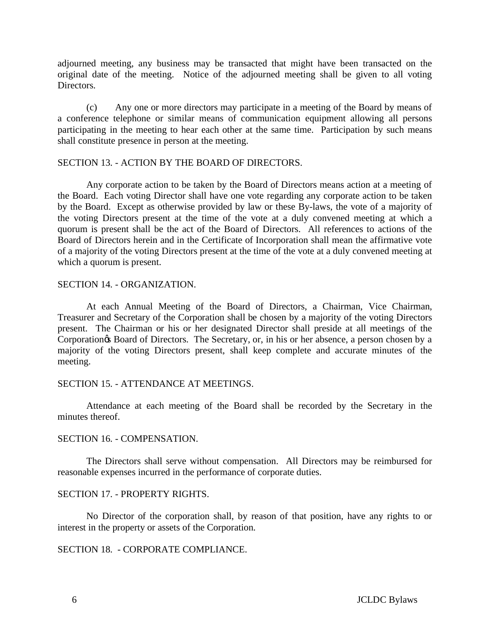adjourned meeting, any business may be transacted that might have been transacted on the original date of the meeting. Notice of the adjourned meeting shall be given to all voting Directors.

(c) Any one or more directors may participate in a meeting of the Board by means of a conference telephone or similar means of communication equipment allowing all persons participating in the meeting to hear each other at the same time. Participation by such means shall constitute presence in person at the meeting.

#### SECTION 13. - ACTION BY THE BOARD OF DIRECTORS.

Any corporate action to be taken by the Board of Directors means action at a meeting of the Board. Each voting Director shall have one vote regarding any corporate action to be taken by the Board. Except as otherwise provided by law or these By-laws, the vote of a majority of the voting Directors present at the time of the vote at a duly convened meeting at which a quorum is present shall be the act of the Board of Directors. All references to actions of the Board of Directors herein and in the Certificate of Incorporation shall mean the affirmative vote of a majority of the voting Directors present at the time of the vote at a duly convened meeting at which a quorum is present.

### SECTION 14. - ORGANIZATION.

<span id="page-8-0"></span>At each Annual Meeting of the Board of Directors, a Chairman, Vice Chairman, Treasurer and Secretary of the Corporation shall be chosen by a majority of the voting Directors present. The Chairman or his or her designated Director shall preside at all meetings of the Corporation<sub>os</sub> Board of Directors. The Secretary, or, in his or her absence, a person chosen by a majority of the voting Directors present, shall keep complete and accurate minutes of the meeting.

### <span id="page-8-2"></span>SECTION 15. - ATTENDANCE AT MEETINGS.

Attendance at each meeting of the Board shall be recorded by the Secretary in the minutes thereof.

### <span id="page-8-4"></span><span id="page-8-3"></span><span id="page-8-1"></span>SECTION 16. - COMPENSATION.

The Directors shall serve without compensation. All Directors may be reimbursed for reasonable expenses incurred in the performance of corporate duties.

### SECTION 17. - PROPERTY RIGHTS.

No Director of the corporation shall, by reason of that position, have any rights to or interest in the property or assets of the Corporation.

# SECTION 18. - CORPORATE COMPLIANCE.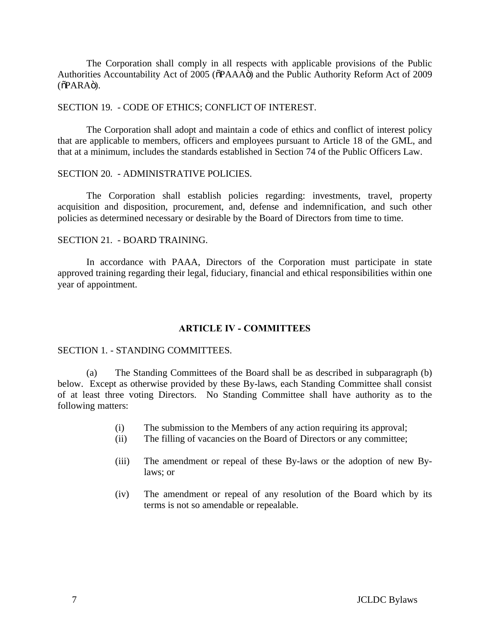The Corporation shall comply in all respects with applicable provisions of the Public Authorities Accountability Act of 2005 ( $\delta$ PAAA $\ddot{o}$ ) and the Public Authority Reform Act of 2009  $(\tilde{\Omega}PARA\ddot{\Omega})$ .

### SECTION 19. - CODE OF ETHICS; CONFLICT OF INTEREST.

The Corporation shall adopt and maintain a code of ethics and conflict of interest policy that are applicable to members, officers and employees pursuant to Article 18 of the GML, and that at a minimum, includes the standards established in Section 74 of the Public Officers Law.

#### SECTION 20. - ADMINISTRATIVE POLICIES.

The Corporation shall establish policies regarding: investments, travel, property acquisition and disposition, procurement, and, defense and indemnification, and such other policies as determined necessary or desirable by the Board of Directors from time to time.

# SECTION 21. - BOARD TRAINING.

In accordance with PAAA, Directors of the Corporation must participate in state approved training regarding their legal, fiduciary, financial and ethical responsibilities within one year of appointment.

### <span id="page-9-1"></span><span id="page-9-0"></span>**ARTICLE IV - COMMITTEES**

### SECTION 1. - STANDING COMMITTEES.

(a) The Standing Committees of the Board shall be as described in subparagraph (b) below. Except as otherwise provided by these By-laws, each Standing Committee shall consist of at least three voting Directors. No Standing Committee shall have authority as to the following matters:

- (i) The submission to the Members of any action requiring its approval;
- (ii) The filling of vacancies on the Board of Directors or any committee;
- (iii) The amendment or repeal of these By-laws or the adoption of new Bylaws; or
- (iv) The amendment or repeal of any resolution of the Board which by its terms is not so amendable or repealable.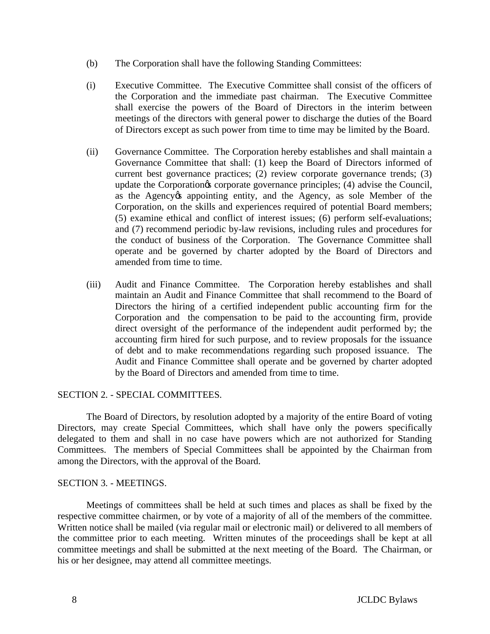- (b) The Corporation shall have the following Standing Committees:
- (i) Executive Committee. The Executive Committee shall consist of the officers of the Corporation and the immediate past chairman. The Executive Committee shall exercise the powers of the Board of Directors in the interim between meetings of the directors with general power to discharge the duties of the Board of Directors except as such power from time to time may be limited by the Board.
- (ii) Governance Committee. The Corporation hereby establishes and shall maintain a Governance Committee that shall: (1) keep the Board of Directors informed of current best governance practices; (2) review corporate governance trends; (3) update the Corporation<sub>os</sub> corporate governance principles; (4) advise the Council, as the Agency ts appointing entity, and the Agency, as sole Member of the Corporation, on the skills and experiences required of potential Board members; (5) examine ethical and conflict of interest issues; (6) perform self-evaluations; and (7) recommend periodic by-law revisions, including rules and procedures for the conduct of business of the Corporation. The Governance Committee shall operate and be governed by charter adopted by the Board of Directors and amended from time to time.
- (iii) Audit and Finance Committee. The Corporation hereby establishes and shall maintain an Audit and Finance Committee that shall recommend to the Board of Directors the hiring of a certified independent public accounting firm for the Corporation and the compensation to be paid to the accounting firm, provide direct oversight of the performance of the independent audit performed by; the accounting firm hired for such purpose, and to review proposals for the issuance of debt and to make recommendations regarding such proposed issuance. The Audit and Finance Committee shall operate and be governed by charter adopted by the Board of Directors and amended from time to time.

# SECTION 2. - SPECIAL COMMITTEES.

<span id="page-10-0"></span>The Board of Directors, by resolution adopted by a majority of the entire Board of voting Directors, may create Special Committees, which shall have only the powers specifically delegated to them and shall in no case have powers which are not authorized for Standing Committees. The members of Special Committees shall be appointed by the Chairman from among the Directors, with the approval of the Board.

# <span id="page-10-1"></span>SECTION 3. - MEETINGS.

Meetings of committees shall be held at such times and places as shall be fixed by the respective committee chairmen, or by vote of a majority of all of the members of the committee. Written notice shall be mailed (via regular mail or electronic mail) or delivered to all members of the committee prior to each meeting. Written minutes of the proceedings shall be kept at all committee meetings and shall be submitted at the next meeting of the Board. The Chairman, or his or her designee, may attend all committee meetings.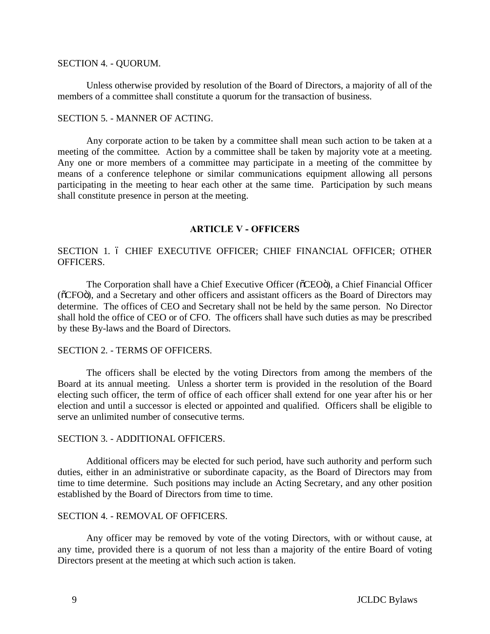## SECTION 4. - QUORUM.

Unless otherwise provided by resolution of the Board of Directors, a majority of all of the members of a committee shall constitute a quorum for the transaction of business.

# SECTION 5. - MANNER OF ACTING.

Any corporate action to be taken by a committee shall mean such action to be taken at a meeting of the committee. Action by a committee shall be taken by majority vote at a meeting. Any one or more members of a committee may participate in a meeting of the committee by means of a conference telephone or similar communications equipment allowing all persons participating in the meeting to hear each other at the same time. Participation by such means shall constitute presence in person at the meeting.

# <span id="page-11-4"></span><span id="page-11-2"></span><span id="page-11-1"></span><span id="page-11-0"></span>**ARTICLE V - OFFICERS**

# SECTION 1. 6 CHIEF EXECUTIVE OFFICER; CHIEF FINANCIAL OFFICER; OTHER OFFICERS.

The Corporation shall have a Chief Executive Officer ( $\delta$ CEO $\ddot{o}$ ), a Chief Financial Officer ( $\delta$ CFO $\ddot{o}$ ), and a Secretary and other officers and assistant officers as the Board of Directors may determine. The offices of CEO and Secretary shall not be held by the same person. No Director shall hold the office of CEO or of CFO. The officers shall have such duties as may be prescribed by these By-laws and the Board of Directors.

# SECTION 2. - TERMS OF OFFICERS.

The officers shall be elected by the voting Directors from among the members of the Board at its annual meeting. Unless a shorter term is provided in the resolution of the Board electing such officer, the term of office of each officer shall extend for one year after his or her election and until a successor is elected or appointed and qualified. Officers shall be eligible to serve an unlimited number of consecutive terms.

# <span id="page-11-6"></span><span id="page-11-5"></span>SECTION 3. - ADDITIONAL OFFICERS.

Additional officers may be elected for such period, have such authority and perform such duties, either in an administrative or subordinate capacity, as the Board of Directors may from time to time determine. Such positions may include an Acting Secretary, and any other position established by the Board of Directors from time to time.

# SECTION 4. - REMOVAL OF OFFICERS.

<span id="page-11-3"></span>Any officer may be removed by vote of the voting Directors, with or without cause, at any time, provided there is a quorum of not less than a majority of the entire Board of voting Directors present at the meeting at which such action is taken.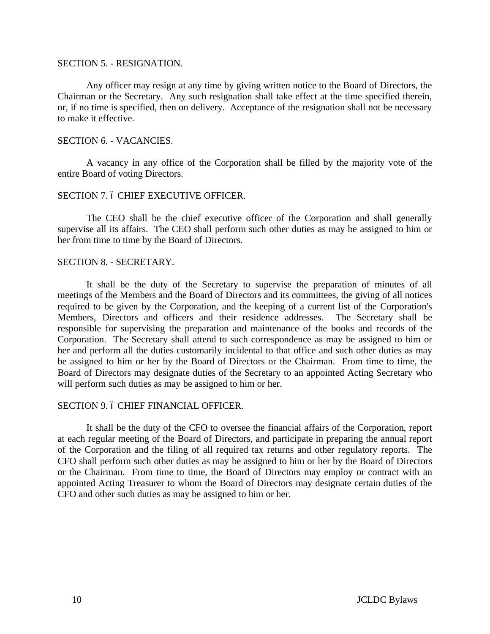### SECTION 5. - RESIGNATION.

Any officer may resign at any time by giving written notice to the Board of Directors, the Chairman or the Secretary. Any such resignation shall take effect at the time specified therein, or, if no time is specified, then on delivery. Acceptance of the resignation shall not be necessary to make it effective.

### SECTION 6. - VACANCIES.

A vacancy in any office of the Corporation shall be filled by the majority vote of the entire Board of voting Directors.

#### SECTION 7.6 CHIEF EXECUTIVE OFFICER.

The CEO shall be the chief executive officer of the Corporation and shall generally supervise all its affairs. The CEO shall perform such other duties as may be assigned to him or her from time to time by the Board of Directors.

# SECTION 8. - SECRETARY.

It shall be the duty of the Secretary to supervise the preparation of minutes of all meetings of the Members and the Board of Directors and its committees, the giving of all notices required to be given by the Corporation, and the keeping of a current list of the Corporation's Members, Directors and officers and their residence addresses. The Secretary shall be responsible for supervising the preparation and maintenance of the books and records of the Corporation. The Secretary shall attend to such correspondence as may be assigned to him or her and perform all the duties customarily incidental to that office and such other duties as may be assigned to him or her by the Board of Directors or the Chairman. From time to time, the Board of Directors may designate duties of the Secretary to an appointed Acting Secretary who will perform such duties as may be assigned to him or her.

### <span id="page-12-4"></span><span id="page-12-2"></span>SECTION 9.6 CHIEF FINANCIAL OFFICER.

<span id="page-12-3"></span><span id="page-12-1"></span><span id="page-12-0"></span>It shall be the duty of the CFO to oversee the financial affairs of the Corporation, report at each regular meeting of the Board of Directors, and participate in preparing the annual report of the Corporation and the filing of all required tax returns and other regulatory reports. The CFO shall perform such other duties as may be assigned to him or her by the Board of Directors or the Chairman. From time to time, the Board of Directors may employ or contract with an appointed Acting Treasurer to whom the Board of Directors may designate certain duties of the CFO and other such duties as may be assigned to him or her.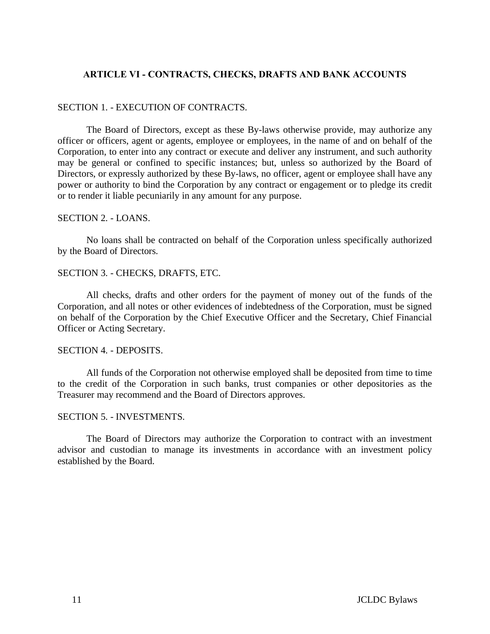# **ARTICLE VI - CONTRACTS, CHECKS, DRAFTS AND BANK ACCOUNTS**

# SECTION 1. - EXECUTION OF CONTRACTS.

The Board of Directors, except as these By-laws otherwise provide, may authorize any officer or officers, agent or agents, employee or employees, in the name of and on behalf of the Corporation, to enter into any contract or execute and deliver any instrument, and such authority may be general or confined to specific instances; but, unless so authorized by the Board of Directors, or expressly authorized by these By-laws, no officer, agent or employee shall have any power or authority to bind the Corporation by any contract or engagement or to pledge its credit or to render it liable pecuniarily in any amount for any purpose.

## SECTION 2. - LOANS.

No loans shall be contracted on behalf of the Corporation unless specifically authorized by the Board of Directors.

# SECTION 3. - CHECKS, DRAFTS, ETC.

All checks, drafts and other orders for the payment of money out of the funds of the Corporation, and all notes or other evidences of indebtedness of the Corporation, must be signed on behalf of the Corporation by the Chief Executive Officer and the Secretary, Chief Financial Officer or Acting Secretary.

### SECTION 4. - DEPOSITS.

<span id="page-13-1"></span>All funds of the Corporation not otherwise employed shall be deposited from time to time to the credit of the Corporation in such banks, trust companies or other depositories as the Treasurer may recommend and the Board of Directors approves.

### <span id="page-13-3"></span>SECTION 5. - INVESTMENTS.

<span id="page-13-5"></span><span id="page-13-4"></span><span id="page-13-2"></span><span id="page-13-0"></span>The Board of Directors may authorize the Corporation to contract with an investment advisor and custodian to manage its investments in accordance with an investment policy established by the Board.